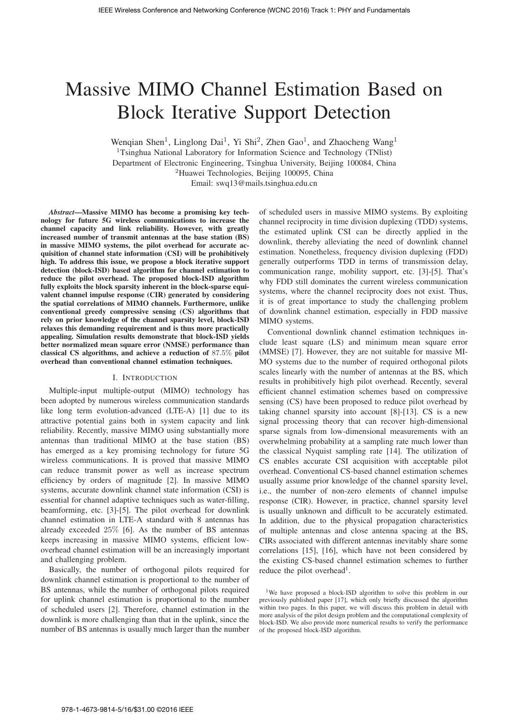# Massive MIMO Channel Estimation Based on Block Iterative Support Detection

Wenqian Shen<sup>1</sup>, Linglong Dai<sup>1</sup>, Yi Shi<sup>2</sup>, Zhen Gao<sup>1</sup>, and Zhaocheng Wang<sup>1</sup>

<sup>1</sup>Tsinghua National Laboratory for Information Science and Technology (TNIist) Department of Electronic Engineering, Tsinghua University, Beijing 100084, China

<sup>2</sup>Huawei Technologies, Beijing 100095, China

Email: swq13@mails.tsinghua.edu.cn

*Abstract*—Massive MIMO has become a promising key technology for future 5G wireless communications to increase the channel capacity and link reliability. However, with greatly increased number of transmit antennas at the base station (BS) in massive MIMO systems, the pilot overhead for accurate acquisition of channel state information (CSI) will be prohibitively high. To address this issue, we propose a block iterative support detection (block-ISD) based algorithm for channel estimation to reduce the pilot overhead. The proposed block-ISD algorithm fully exploits the block sparsity inherent in the block-sparse equivalent channel impulse response (CIR) generated by considering the spatial correlations of MIMO channels. Furthermore, unlike conventional greedy compressive sensing (CS) algorithms that rely on prior knowledge of the channel sparsity level, block-ISD relaxes this demanding requirement and is thus more practically appealing. Simulation results demonstrate that block-ISD yields better normalized mean square error (NMSE) performance than classical CS algorithms, and achieve a reduction of 87.5% pilot overhead than conventional channel estimation techniques.

#### I. INTRODUCTION

Multiple-input multiple-output (MIMO) technology has been adopted by numerous wireless communication standards like long term evolution-advanced (LTE-A) [1] due to its attractive potential gains both in system capacity and link reliability. Recently, massive MIMO using substantially more antennas than traditional MIMO at the base station (BS) has emerged as a key promising technology for future 5G wireless communications. It is proved that massive MIMO can reduce transmit power as well as increase spectrum efficiency by orders of magnitude [2]. In massive MIMO systems, accurate downlink channel state information (CSI) is essential for channel adaptive techniques such as water-filling, beamforming, etc. [3]-[5]. The pilot overhead for downlink channel estimation in LTE-A standard with 8 antennas has already exceeded 25% [6]. As the number of BS antennas keeps increasing in massive MIMO systems, efficient lowoverhead channel estimation will be an increasingly important and challenging problem.

Basically, the number of orthogonal pilots required for downlink channel estimation is proportional to the number of BS antennas, while the number of orthogonal pilots required for uplink channel estimation is proportional to the number of scheduled users [2]. Therefore, channel estimation in the downlink is more challenging than that in the uplink, since the number of BS antennas is usually much larger than the number

of scheduled users in massive MIMO systems. By exploiting channel reciprocity in time division duplexing (TDD) systems, the estimated uplink CSI can be directly applied in the downlink, thereby alleviating the need of downlink channel estimation. Nonetheless, frequency division duplexing (FDD) generally outperforms TDD in terms of transmission delay, communication range, mobility support, etc. [3]-[5]. That's why FDD still dominates the current wireless communication systems, where the channel reciprocity does not exist. Thus, it is of great importance to study the challenging problem of downlink channel estimation, especially in FDD massive MIMO systems.

Conventional downlink channel estimation techniques include least square (LS) and minimum mean square error (MMSE) [7]. However, they are not suitable for massive MI-MO systems due to the number of required orthogonal pilots scales linearly with the number of antennas at the BS, which results in prohibitively high pilot overhead. Recently, several efficient channel estimation schemes based on compressive sensing (CS) have been proposed to reduce pilot overhead by taking channel sparsity into account [8]-[13]. CS is a new signal processing theory that can recover high-dimensional sparse signals from low-dimensional measurements with an overwhelming probability at a sampling rate much lower than the classical Nyquist sampling rate [14]. The utilization of CS enables accurate CSI acquisition with acceptable pilot overhead. Conventional CS-based channel estimation schemes usually assume prior knowledge of the channel sparsity level, i.e., the number of non-zero elements of channel impulse response (CIR). However, in practice, channel sparsity level is usually unknown and difficult to be accurately estimated. In addition, due to the physical propagation characteristics of multiple antennas and close antenna spacing at the BS, CIRs associated with different antennas inevitably share some correlations [15], [16], which have not been considered by the existing CS-based channel estimation schemes to further reduce the pilot overhead<sup>1</sup>.

<sup>1</sup>We have proposed a block-ISD algorithm to solve this problem in our previously published paper [17], which only briefly discussed the algorithm within two pages. In this paper, we will discuss this problem in detail with more analysis of the pilot design problem and the computational complexity of block-ISD. We also provide more numerical results to verify the performance of the proposed block-ISD algorithm.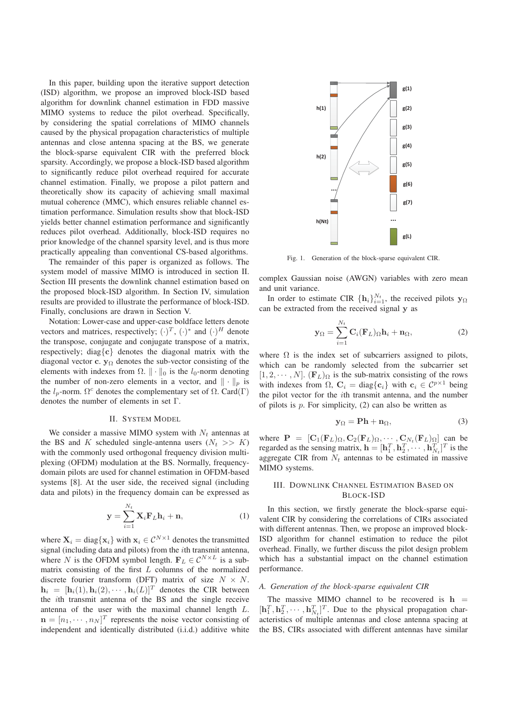In this paper, building upon the iterative support detection (ISD) algorithm, we propose an improved block-ISD based algorithm for downlink channel estimation in FDD massive MIMO systems to reduce the pilot overhead. Specifically, by considering the spatial correlations of MIMO channels caused by the physical propagation characteristics of multiple antennas and close antenna spacing at the BS, we generate the block-sparse equivalent CIR with the preferred block sparsity. Accordingly, we propose a block-ISD based algorithm to significantly reduce pilot overhead required for accurate channel estimation. Finally, we propose a pilot pattern and theoretically show its capacity of achieving small maximal mutual coherence (MMC), which ensures reliable channel estimation performance. Simulation results show that block-ISD yields better channel estimation performance and significantly reduces pilot overhead. Additionally, block-ISD requires no prior knowledge of the channel sparsity level, and is thus more practically appealing than conventional CS-based algorithms.

The remainder of this paper is organized as follows. The system model of massive MIMO is introduced in section II. Section III presents the downlink channel estimation based on the proposed block-ISD algorithm. In Section IV, simulation results are provided to illustrate the performance of block-ISD. Finally, conclusions are drawn in Section V.

Notation: Lower-case and upper-case boldface letters denote vectors and matrices, respectively;  $(\cdot)^T$ ,  $(\cdot)^*$  and  $(\cdot)^H$  denote the transpose, conjugate and conjugate transpose of a matrix, respectively; diag{**c**} denotes the diagonal matrix with the diagonal vector **c**. **y** $\Omega$  denotes the sub-vector consisting of the elements with indexes from  $\Omega$ .  $\|\cdot\|_0$  is the  $l_0$ -norm denoting<br>the number of non-zero elements in a vector and  $\|\cdot\|$  is the number of non-zero elements in a vector, and  $\|\cdot\|_p$  is the  $l_p$ -norm.  $\Omega^c$  denotes the complementary set of  $\Omega$ . Card(Γ) denotes the number of elements in set Γ.

#### II. SYSTEM MODEL

We consider a massive MIMO system with  $N_t$  antennas at the BS and K scheduled single-antenna users  $(N_t >> K)$ with the commonly used orthogonal frequency division multiplexing (OFDM) modulation at the BS. Normally, frequencydomain pilots are used for channel estimation in OFDM-based systems [8]. At the user side, the received signal (including data and pilots) in the frequency domain can be expressed as

$$
\mathbf{y} = \sum_{i=1}^{N_t} \mathbf{X}_i \mathbf{F}_L \mathbf{h}_i + \mathbf{n},\tag{1}
$$

where  $X_i = \text{diag}\{x_i\}$  with  $x_i \in C^{N \times 1}$  denotes the transmitted signal (including data and pilots) from the ith transmit antenna, where N is the OFDM symbol length.  $\mathbf{F}_L \in \mathcal{C}^{N \times L}$  is a submatrix consisting of the first  $L$  columns of the normalized discrete fourier transform (DFT) matrix of size  $N \times N$ .  $\mathbf{h}_i = [\mathbf{h}_i(1), \mathbf{h}_i(2), \cdots, \mathbf{h}_i(L)]^T$  denotes the CIR between the ith transmit antenna of the BS and the single receive antenna of the user with the maximal channel length L.  $\mathbf{n} = [n_1, \dots, n_N]^T$  represents the noise vector consisting of independent and identically distributed (i.i.d.) additive white independent and identically distributed (i.i.d.) additive white



Fig. 1. Generation of the block-sparse equivalent CIR.

complex Gaussian noise (AWGN) variables with zero mean and unit variance.

In order to estimate CIR  $\{\mathbf{h}_i\}_{i=1}^{N_t}$ , the received pilots **y**<sub>Ω</sub> n be extracted from the received signal **y** as can be extracted from the received signal **y** as

$$
\mathbf{y}_{\Omega} = \sum_{i=1}^{N_t} \mathbf{C}_i(\mathbf{F}_L)_{\Omega} \mathbf{h}_i + \mathbf{n}_{\Omega},
$$
 (2)

where  $\Omega$  is the index set of subcarriers assigned to pilots, which can be randomly selected from the subcarrier set  $[1, 2, \cdots, N]$ .  $(\mathbf{F}_L)_{\Omega}$  is the sub-matrix consisting of the rows with indexes from  $\Omega$ ,  $\mathbf{C}_i = \text{diag}\{\mathbf{c}_i\}$  with  $\mathbf{c}_i \in C^{p \times 1}$  being the pilot vector for the ith transmit antenna, and the number of pilots is  $p$ . For simplicity, (2) can also be written as

$$
y_{\Omega} = \mathbf{P} \mathbf{h} + \mathbf{n}_{\Omega},\tag{3}
$$

where  $\mathbf{P} = [\mathbf{C}_1(\mathbf{F}_L)_{\Omega}, \mathbf{C}_2(\mathbf{F}_L)_{\Omega}, \cdots, \mathbf{C}_{N_t}(\mathbf{F}_L)_{\Omega}]$  can be regarded as the sensing matrix  $\mathbf{h} = [\mathbf{h}^T \ \mathbf{h}^T \ \cdots \ \mathbf{h}^T]^T$  is the regarded as the sensing matrix,  $\mathbf{h} = [\mathbf{h}_1^T, \mathbf{h}_2^T, \cdots, \mathbf{h}_{N_t}^T]^T$  is the aggregate CIR from  $N_t$  antennas to be estimated in massive MIMO systems.

# III. DOWNLINK CHANNEL ESTIMATION BASED ON BLOCK-ISD

In this section, we firstly generate the block-sparse equivalent CIR by considering the correlations of CIRs associated with different antennas. Then, we propose an improved block-ISD algorithm for channel estimation to reduce the pilot overhead. Finally, we further discuss the pilot design problem which has a substantial impact on the channel estimation performance.

# *A. Generation of the block-sparse equivalent CIR*

The massive MIMO channel to be recovered is  $h =$  $[\mathbf{h}_1^T, \mathbf{h}_2^T, \cdots, \mathbf{h}_{N_t}^T]^T$ . Due to the physical propagation char-<br>acteristics of multiple antennas and close antenna spacing at acteristics of multiple antennas and close antenna spacing at the BS, CIRs associated with different antennas have similar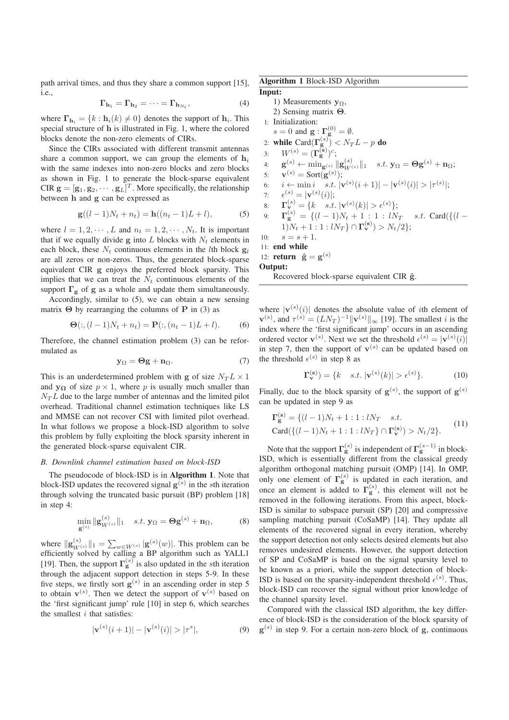path arrival times, and thus they share a common support [15], i.e.,

$$
\Gamma_{\mathbf{h}_1} = \Gamma_{\mathbf{h}_2} = \cdots = \Gamma_{\mathbf{h}_{N_t}},\tag{4}
$$

where  $\mathbf{\Gamma}_{\mathbf{h}_i} = \{k : \mathbf{h}_i(k) \neq 0\}$  denotes the support of  $\mathbf{h}_i$ . This special structure of **h** is illustrated in Fig. 1, where the colored blocks denote the non-zero elements of CIRs.

Since the CIRs associated with different transmit antennas share a common support, we can group the elements of  $\mathbf{h}_i$ with the same indexes into non-zero blocks and zero blocks as shown in Fig. 1 to generate the block-sparse equivalent CIR  $\mathbf{g} = [\mathbf{g}_1, \mathbf{g}_2, \cdots, \mathbf{g}_L]^T$ . More specifically, the relationship<br>between **b** and **g** can be expressed as between **h** and **g** can be expressed as

$$
\mathbf{g}((l-1)N_t + n_t) = \mathbf{h}((n_t - 1)L + l),
$$
 (5)

where  $l = 1, 2, \dots, L$  and  $n_t = 1, 2, \dots, N_t$ . It is important that if we equally divide  $g$  into  $L$  blocks with  $N_t$  elements in each block, these  $N_t$  continuous elements in the *l*th block  $g_l$ are all zeros or non-zeros. Thus, the generated block-sparse equivalent CIR **g** enjoys the preferred block sparsity. This implies that we can treat the  $N_t$  continuous elements of the support  $\Gamma_{\mathbf{g}}$  of **g** as a whole and update them simultaneously.

Accordingly, similar to (5), we can obtain a new sensing matrix  $\Theta$  by rearranging the columns of **P** in (3) as

$$
\Theta(:, (l-1)N_t + n_t) = \mathbf{P}(:, (n_t - 1)L + l). \tag{6}
$$

Therefore, the channel estimation problem (3) can be reformulated as

$$
y_{\Omega} = \Theta g + n_{\Omega}.
$$
 (7)

This is an underdetermined problem with **g** of size  $N_T L \times 1$ and **yQ** of size  $p \times 1$ , where p is usually much smaller than  $N<sub>T</sub>L$  due to the large number of antennas and the limited pilot overhead. Traditional channel estimation techniques like LS and MMSE can not recover CSI with limited pilot overhead. In what follows we propose a block-ISD algorithm to solve this problem by fully exploiting the block sparsity inherent in the generated block-sparse equivalent CIR.

## *B. Downlink channel estimation based on block-ISD*

The pseudocode of block-ISD is in **Algorithm 1**. Note that block-ISD updates the recovered signal  $g^{(s)}$  in the sth iteration through solving the truncated basic pursuit (BP) problem [18] in step 4:

$$
\min_{\mathbf{g}^{(s)}} \|\mathbf{g}_{W^{(s)}}^{(s)}\|_1 \quad s.t. \ \mathbf{y}_{\Omega} = \mathbf{\Theta} \mathbf{g}^{(s)} + \mathbf{n}_{\Omega},\tag{8}
$$

where  $\|\mathbf{g}_{W(s)}^{(s)}\|_1 = \sum_{w \in W(s)} |\mathbf{g}^{(s)}(w)|$ . This problem can be efficiently solved by calling a RP algorithm such as **YALL1** efficiently solved by calling a BP algorithm such as YALL1 [19]. Then, the support  $\Gamma_{\bf g}^{(s)}$  is also updated in the sth iteration through the adjacent support detection in steps 5-9. In these five steps, we firstly sort  $g^{(s)}$  in an ascending order in step 5 to obtain  $\mathbf{v}^{(s)}$ . Then we detect the support of  $\mathbf{v}^{(s)}$  based on the 'first significant jump' rule [10] in step 6, which searches the smallest  $i$  that satisfies:

$$
|\mathbf{v}^{(s)}(i+1)| - |\mathbf{v}^{(s)}(i)| > |\tau^s|,
$$
\n(9)

Algorithm 1 Block-ISD Algorithm Input:

1) Measurements **<sup>y</sup>**<sup>Ω</sup>, 2) Sensing matrix **Θ**. 1: Initialization:  $s = 0$  and  $\mathbf{g} : \mathbf{\Gamma}_{\mathbf{g}}^{(0)} = \emptyset$ .<br> **while**  $\text{Card}(\mathbf{\Gamma}^{(s)}) \leq N$ 2: **while**  $\text{Card}(\Gamma_{\mathbf{g}}^{(s)}) < N_T L - p$  do 3:  $W^{(s)} = (\mathbf{\Gamma_g^{(s)}})^c;$  $\mathbf{g}^{(s)} \leftarrow \min_{\mathbf{g}^{(s)}} \|\mathbf{g}_{W^{(s)}}^{(s)}\|_1 \quad s.t. \mathbf{y}_{\Omega} = \mathbf{\Theta} \mathbf{g}^{(s)} + \mathbf{n}_{\Omega};$ 5:  $\mathbf{v}^{(s)} = \text{Sort}(\mathbf{g}^{(s)});$ 6:  $i \leftarrow \min_{s \in S} i_s, |\mathbf{v}^{(s)}(i+1)| - |\mathbf{v}^{(s)}(i)| > |\tau^{(s)}|;$ 7:  $\epsilon^{(s)} = |\mathbf{v}^{(s)}(i)|;$ <br> **p**.  $\mathbf{F}^{(s)} = [h \cdot e^{\imath t}]$ 8:  $\mathbf{\Gamma}_{\mathbf{v}}^{(s)} = \{k \text{ s.t. } |\mathbf{v}^{(s)}(k)| > \epsilon^{(s)}\};$ <br> $\mathbf{\Gamma}_{\mathbf{v}}^{(s)} = \{l-1\}N + 1 + 1 + N$ 9:  $\mathbf{\Gamma}_{\mathbf{S}}^{(s)} = \{ (l-1)N_t + 1 : 1 : lN_T \text{ s.t. } \text{Card}( \{ (l-1)N_{t+1} + 1 : lN_{t+1} \text{ or } \mathbf{S} ) \} \setminus N \geq N \}$  $1)N_t + 1:1: lN_T$   $\cap$   $\Gamma_{\mathbf{v}}^{(\mathbf{s})}$   $> N_t/2$  ; 10:  $s = s + 1$ . 11: end while 12: **return**  $\hat{\mathbf{g}} = \mathbf{g}^{(s)}$ Output: Recovered block-sparse equivalent CIR  $\hat{g}$ .

where  $|\mathbf{v}^{(s)}(i)|$  denotes the absolute value of *i*th element of  $\mathbf{v}^{(s)}$ , and  $\tau^{(s)} = (LN_T)^{-1} ||\mathbf{v}^{(s)}||_{\infty}$  [19]. The smallest *i* is the index where the 'first significant jump' occurs in an ascending index where the 'first significant jump' occurs in an ascending ordered vector  $\mathbf{v}^{(s)}$ . Next we set the threshold  $\epsilon^{(s)} = |\mathbf{v}^{(s)}(i)|$ <br>in step 7, then the support of  $\mathbf{v}^{(s)}$  can be undated based on in step 7, then the support of  $\mathbf{v}^{(s)}$  can be updated based on the threshold  $\epsilon^{(s)}$  in step 8 as

$$
\Gamma_{\mathbf{v}}^{(\mathbf{s})} = \{k \quad s.t. \, |\mathbf{v}^{(s)}(k)| > \epsilon^{(s)}\}.
$$
 (10)

Finally, due to the block sparsity of  $g^{(s)}$ , the support of  $g^{(s)}$ can be updated in step 9 as

$$
\mathbf{\Gamma}_{\mathbf{g}}^{(\mathbf{s})} = \{ (l-1)N_t + 1 : 1 : lN_T \quad s.t. \n\text{Card}(\{(l-1)N_t + 1 : 1 : lN_T\} \cap \mathbf{\Gamma}_{\mathbf{v}}^{(\mathbf{s})}) > N_t/2 \}. \tag{11}
$$

Note that the support  $\Gamma_{\mathbf{g}}^{(s)}$  is independent of  $\Gamma_{\mathbf{g}}^{(s-1)}$  in block-ISD, which is essentially different from the classical greedy algorithm orthogonal matching pursuit (OMP) [14]. In OMP, only one element of  $\Gamma_{\rm g}^{(s)}$  is updated in each iteration, and once an element is added to  $\Gamma_{\rm g}^{(s)}$ , this element will not be removed in the following iterations. From this aspect, blockremoved in the following iterations. From this aspect, block-ISD is similar to subspace pursuit (SP) [20] and compressive sampling matching pursuit (CoSaMP) [14]. They update all elements of the recovered signal in every iteration, whereby the support detection not only selects desired elements but also removes undesired elements. However, the support detection of SP and CoSaMP is based on the signal sparsity level to be known as a priori, while the support detection of block-ISD is based on the sparsity-independent threshold  $\epsilon^{(s)}$ . Thus,<br>block-ISD can recover the signal without prior knowledge of block-ISD can recover the signal without prior knowledge of the channel sparsity level.

Compared with the classical ISD algorithm, the key difference of block-ISD is the consideration of the block sparsity of  $g^{(s)}$  in step 9. For a certain non-zero block of **g**, continuous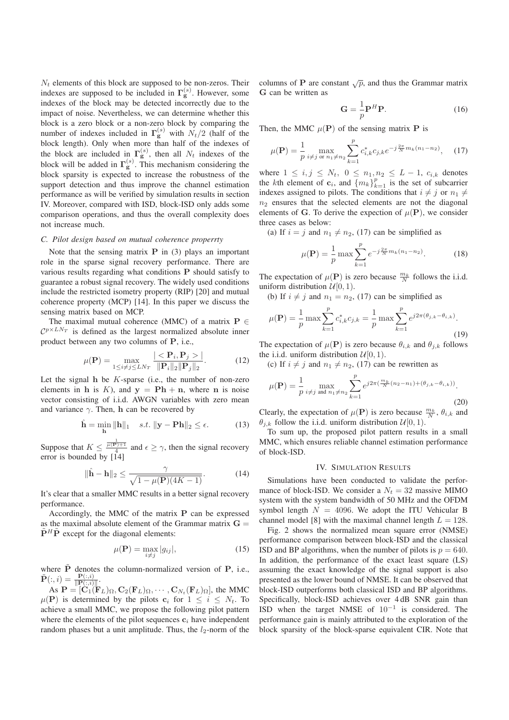$N_t$  elements of this block are supposed to be non-zeros. Their indexes are supposed to be included in  $\Gamma_{\mathbf{g}}^{(s)}$ . However, some indexes of the block may be detected incorrectly due to the impact of noise. Nevertheless, we can determine whether this block is a zero block or a non-zero block by comparing the number of indexes included in  $\Gamma_{\mathbf{g}}^{(s)}$  with  $N_t/2$  (half of the block length). Only when more than half of the indexes of the block are included in  $\mathbf{\Gamma}_{\mathbf{g}}^{(s)}$ , then all  $N_t$  indexes of the block will be added in  $\Gamma_g^{(s)}$ . This mechanism considering the block sparsity is expected to increase the robustness of the support detection and thus improve the channel estimation performance as will be verified by simulation results in section IV. Moreover, compared with ISD, block-ISD only adds some comparison operations, and thus the overall complexity does not increase much.

# *C. Pilot design based on mutual coherence properrty*

Note that the sensing matrix **P** in (3) plays an important role in the sparse signal recovery performance. There are various results regarding what conditions **P** should satisfy to guarantee a robust signal recovery. The widely used conditions include the restricted isometry property (RIP) [20] and mutual coherence property (MCP) [14]. In this paper we discuss the sensing matrix based on MCP.

The maximal mutual coherence (MMC) of a matrix  $P \in$  $\mathcal{C}^{p \times L N_T}$  is defined as the largest normalized absolute inner product between any two columns of **P**, i.e.,

$$
\mu(\mathbf{P}) = \max_{1 \le i \ne j \le LN_T} \frac{|<\mathbf{P}_i, \mathbf{P}_j>|}{\|\mathbf{P}_i\|_2 \|\mathbf{P}_j\|_2}.
$$
(12)

Let the signal **h** be K-sparse (i.e., the number of non-zero<br>elements in **h** is K) and  $y = Ph + n$  where **n** is noise elements in **h** is K), and  $y = Ph + n$ , where **n** is noise vector consisting of i.i.d. AWGN variables with zero mean and variance  $\gamma$ . Then, **h** can be recovered by

$$
\hat{\mathbf{h}} = \min_{\mathbf{h}} \|\mathbf{h}\|_{1} \quad s.t. \|\mathbf{y} - \mathbf{P}\mathbf{h}\|_{2} \le \epsilon. \tag{13}
$$

Suppose that  $K \leq \frac{\frac{1}{\mu(\mathbf{P})+1}}{4}$  and  $\epsilon \geq \gamma$ , then the signal recovery error is bounded by [14]

$$
\|\hat{\mathbf{h}} - \mathbf{h}\|_{2} \le \frac{\gamma}{\sqrt{1 - \mu(\mathbf{P})(4K - 1)}}.\tag{14}
$$

It's clear that a smaller MMC results in a better signal recovery performance.

Accordingly, the MMC of the matrix **P** can be expressed as the maximal absolute element of the Grammar matrix  $G =$  $\tilde{\mathbf{P}}^H \tilde{\mathbf{P}}$  except for the diagonal elements:

$$
\mu(\mathbf{P}) = \max_{i \neq j} |g_{ij}|,\tag{15}
$$

where  $\tilde{P}$  denotes the column-normalized version of **P**, i.e.,  $\tilde{P}(\cdot, i) = \frac{P(:,i)}{P}$  $\tilde{\mathbf{P}}(:,i) = \frac{\mathbf{P}(:,i)}{\|\mathbf{P}(:,i)\|}.$ <br> **As**  $\mathbf{P} = [\mathbf{C}, \ell]$ 

 $\mathbf{A} \mathbf{s} \mathbf{P} = [\mathbf{C}_1(\mathbf{F}_L) \Omega, \mathbf{C}_2(\mathbf{F}_L) \Omega, \cdots, \mathbf{C}_{N_t}(\mathbf{F}_L) \Omega],$  the MMC<br>**P**) is determined by the pilots  $\mathbf{c}_i$  for  $1 \leq i \leq N$ . To  $\mu(\mathbf{P})$  is determined by the pilots  $\mathbf{c}_i$  for  $1 \leq i \leq N_t$ . To achieve a small MMC, we propose the following pilot pattern where the elements of the pilot sequences  $\mathbf{c}_i$  have independent random phases but a unit amplitude. Thus, the  $l_2$ -norm of the columns of **P** are constant  $\sqrt{p}$ , and thus the Grammar matrix **G** can be written as

$$
\mathbf{G} = \frac{1}{p} \mathbf{P}^H \mathbf{P}.
$$
 (16)

Then, the MMC  $\mu(\mathbf{P})$  of the sensing matrix **P** is

$$
\mu(\mathbf{P}) = \frac{1}{p} \max_{i \neq j \text{ or } n_1 \neq n_2} \sum_{k=1}^{p} c_{i,k}^* c_{j,k} e^{-j\frac{2\pi}{N} m_k (n_1 - n_2)}, \quad (17)
$$

where  $1 \le i, j \le N_t, \ 0 \le n_1, n_2 \le L - 1, \ c_{i,k}$  denotes the kth element of  $\mathbf{c}_i$ , and  $\{m_k\}_{k=1}^p$  is the set of subcarrier<br>indexes assigned to pilots. The conditions that  $i \neq i$  or  $n_i \neq j$ indexes assigned to pilots. The conditions that  $i \neq j$  or  $n_1 \neq j$  $n_2$  ensures that the selected elements are not the diagonal elements of **G**. To derive the expection of  $\mu(\mathbf{P})$ , we consider three cases as below:

(a) If  $i = j$  and  $n_1 \neq n_2$ , (17) can be simplified as

$$
\mu(\mathbf{P}) = \frac{1}{p} \max \sum_{k=1}^{p} e^{-j\frac{2\pi}{N} m_k(n_1 - n_2)}.
$$
 (18)

The expectation of  $\mu(P)$  is zero because  $\frac{m_k}{N}$  follows the i.i.d. uniform distribution  $\mathcal{U}[0, 1)$ .

(b) If  $i \neq j$  and  $n_1 = n_2$ , (17) can be simplified as

$$
\mu(\mathbf{P}) = \frac{1}{p} \max \sum_{k=1}^{p} c_{i,k}^* c_{j,k} = \frac{1}{p} \max \sum_{k=1}^{p} e^{j2\pi(\theta_{j,k} - \theta_{i,k})}.
$$
\n(19)

The expectation of  $\mu(\mathbf{P})$  is zero because  $\theta_{i,k}$  and  $\theta_{i,k}$  follows the i.i.d. uniform distribution  $\mathcal{U}[0, 1)$ .

(c) If  $i \neq j$  and  $n_1 \neq n_2$ , (17) can be rewritten as

$$
\mu(\mathbf{P}) = \frac{1}{p} \max_{i \neq j \text{ and } n_1 \neq n_2} \sum_{k=1}^p e^{j2\pi(\frac{m_k}{N}(n_2 - n_1) + (\theta_{j,k} - \theta_{i,k}))}.
$$
\n(20)

Clearly, the expectation of  $\mu(P)$  is zero because  $\frac{m_k}{N}$ ,  $\theta_{i,k}$  and  $\theta_{i,k}$  follow the i.i.d. uniform distribution  $\mathcal{U}[0, 1]$  $\theta_{j,k}$  follow the i.i.d. uniform distribution  $\mathcal{U}[0, 1)$ .

To sum up, the proposed pilot pattern results in a small MMC, which ensures reliable channel estimation performance of block-ISD.

#### IV. SIMULATION RESULTS

Simulations have been conducted to validate the performance of block-ISD. We consider a  $N_t = 32$  massive MIMO system with the system bandwidth of 50 MHz and the OFDM symbol length  $N = 4096$ . We adopt the ITU Vehicular B channel model [8] with the maximal channel length  $L = 128$ .

Fig. 2 shows the normalized mean square error (NMSE) performance comparison between block-ISD and the classical ISD and BP algorithms, when the number of pilots is  $p = 640$ . In addition, the performance of the exact least square (LS) assuming the exact knowledge of the signal support is also presented as the lower bound of NMSE. It can be observed that block-ISD outperforms both classical ISD and BP algorithms. Specifically, block-ISD achieves over  $4 dB$  SNR gain than ISD when the target NMSE of 10−<sup>1</sup> is considered. The performance gain is mainly attributed to the exploration of the block sparsity of the block-sparse equivalent CIR. Note that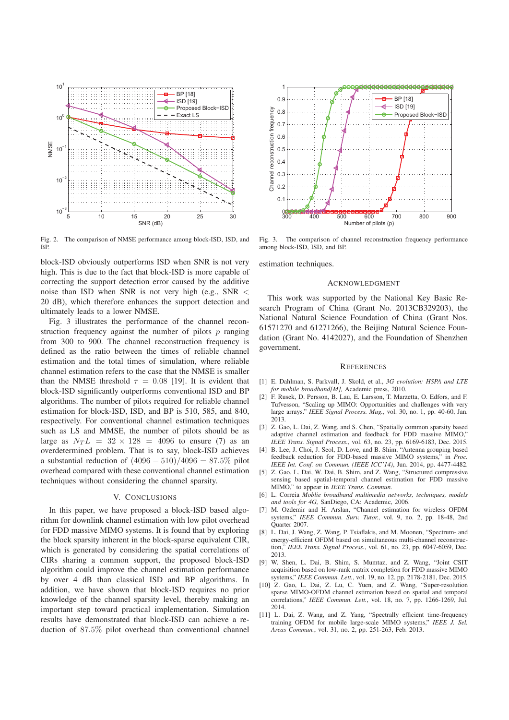

Fig. 2. The comparison of NMSE performance among block-ISD, ISD, and BP.

block-ISD obviously outperforms ISD when SNR is not very high. This is due to the fact that block-ISD is more capable of correcting the support detection error caused by the additive noise than ISD when SNR is not very high (e.g., SNR < 20 dB), which therefore enhances the support detection and ultimately leads to a lower NMSE.

Fig. 3 illustrates the performance of the channel reconstruction frequency against the number of pilots  $p$  ranging from 300 to 900. The channel reconstruction frequency is defined as the ratio between the times of reliable channel estimation and the total times of simulation, where reliable channel estimation refers to the case that the NMSE is smaller than the NMSE threshold  $\tau = 0.08$  [19]. It is evident that block-ISD significantly outperforms conventional ISD and BP algorithms. The number of pilots required for reliable channel estimation for block-ISD, ISD, and BP is 510, 585, and 840, respectively. For conventional channel estimation techniques such as LS and MMSE, the number of pilots should be as large as  $N_T L = 32 \times 128 = 4096$  to ensure (7) as an overdetermined problem. That is to say, block-ISD achieves a substantial reduction of  $(4096 - 510)/4096 = 87.5\%$  pilot overhead compared with these conventional channel estimation techniques without considering the channel sparsity.

#### V. CONCLUSIONS

In this paper, we have proposed a block-ISD based algorithm for downlink channel estimation with low pilot overhead for FDD massive MIMO systems. It is found that by exploring the block sparsity inherent in the block-sparse equivalent CIR, which is generated by considering the spatial correlations of CIRs sharing a common support, the proposed block-ISD algorithm could improve the channel estimation performance by over 4 dB than classical ISD and BP algorithms. In addition, we have shown that block-ISD requires no prior knowledge of the channel sparsity level, thereby making an important step toward practical implementation. Simulation results have demonstrated that block-ISD can achieve a reduction of <sup>87</sup>.5% pilot overhead than conventional channel



Fig. 3. The comparison of channel reconstruction frequency performance among block-ISD, ISD, and BP.

estimation techniques.

#### ACKNOWLEDGMENT

This work was supported by the National Key Basic Research Program of China (Grant No. 2013CB329203), the National Natural Science Foundation of China (Grant Nos. 61571270 and 61271266), the Beijing Natural Science Foundation (Grant No. 4142027), and the Foundation of Shenzhen government.

#### **REFERENCES**

- [1] E. Dahlman, S. Parkvall, J. Skold, et al., *3G evolution: HSPA and LTE for mobile broadband[M],* Academic press, 2010.
- [2] F. Rusek, D. Persson, B. Lau, E. Larsson, T. Marzetta, O. Edfors, and F. Tufvesson, "Scaling up MIMO: Opportunities and challenges with very large arrays." *IEEE Signal Process. Mag.*, vol. 30, no. 1, pp. 40-60, Jan. 2013.
- [3] Z. Gao, L. Dai, Z. Wang, and S. Chen, "Spatially common sparsity based adaptive channel estimation and feedback for FDD massive MIMO," *IEEE Trans. Signal Process.*, vol. 63, no. 23, pp. 6169-6183, Dec. 2015.
- [4] B. Lee, J. Choi, J. Seol, D. Love, and B. Shim, "Antenna grouping based feedback reduction for FDD-based massive MIMO systems," in *Proc. IEEE Int. Conf. on Commun. (IEEE ICC'14)*, Jun. 2014, pp. 4477-4482.
- [5] Z. Gao, L. Dai, W. Dai, B. Shim, and Z. Wang, "Structured compressive sensing based spatial-temporal channel estimation for FDD massive MIMO," to appear in *IEEE Trans. Commun.*
- [6] L. Correia *Moblie broadband multimedia networks, techniques, models and tools for 4G,* SanDiego, CA: Academic, 2006.
- [7] M. Ozdemir and H. Arslan, "Channel estimation for wireless OFDM systems," *IEEE Commun. Surv. Tutor.*, vol. 9, no. 2, pp. 18-48, 2nd Quarter 2007.
- [8] L. Dai, J. Wang, Z. Wang, P. Tsiaflakis, and M. Moonen, "Spectrum- and energy-efficient OFDM based on simultaneous multi-channel reconstruction," *IEEE Trans. Signal Process.*, vol. 61, no. 23, pp. 6047-6059, Dec. 2013.
- [9] W. Shen, L. Dai, B. Shim, S. Mumtaz, and Z. Wang, "Joint CSIT acquisition based on low-rank matrix completion for FDD massive MIMO systems," *IEEE Commun. Lett.*, vol. 19, no. 12, pp. 2178-2181, Dec. 2015.
- [10] Z. Gao, L. Dai, Z. Lu, C. Yuen, and Z. Wang, "Super-resolution sparse MIMO-OFDM channel estimation based on spatial and temporal correlations," *IEEE Commun. Lett.*, vol. 18, no. 7, pp. 1266-1269, Jul. 2014.
- [11] L. Dai, Z. Wang, and Z. Yang, "Spectrally efficient time-frequency training OFDM for mobile large-scale MIMO systems," *IEEE J. Sel. Areas Commun.*, vol. 31, no. 2, pp. 251-263, Feb. 2013.